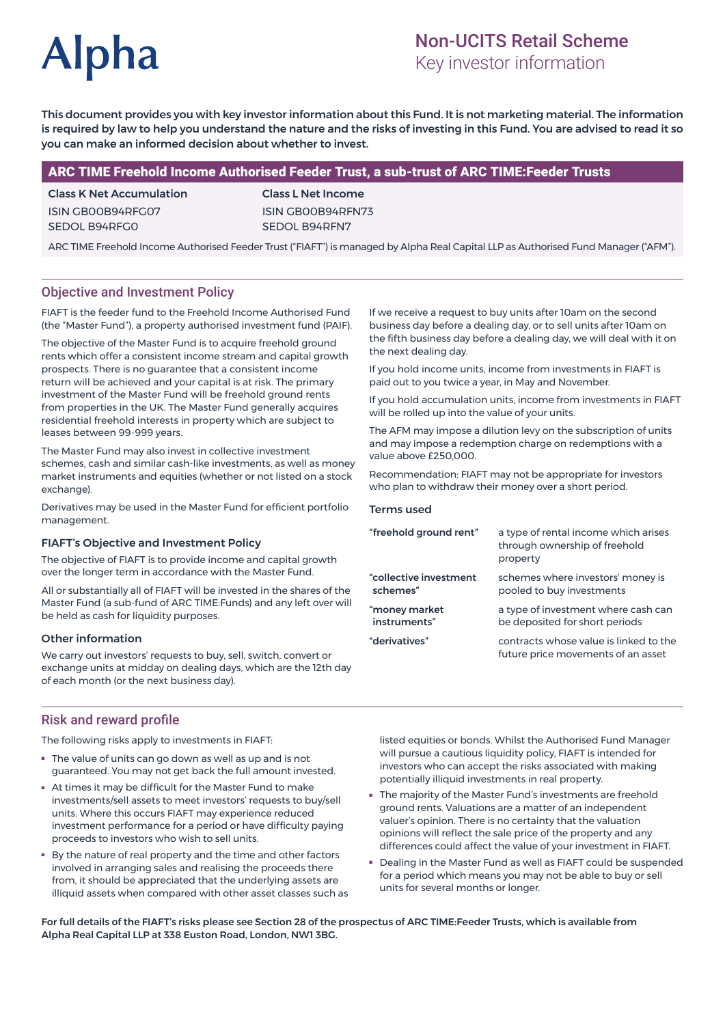# **Alpha**

# Non-UCITS Retail Scheme

Key investor information

This document provides you with key investor information about this Fund. It is not marketing material. The information is required by law to help you understand the nature and the risks of investing in this Fund. You are advised to read it so you can make an informed decision about whether to invest.

# ARC TIME Freehold Income Authorised Feeder Trust, a sub-trust of ARC TIME:Feeder Trusts

Class K Net Accumulation ISIN GB00B94RFG07 SEDOL B94RFG0

Class L Net Income ISIN GB00B94RFN73 SEDOL B94RFN7

ARC TIME Freehold Income Authorised Feeder Trust ("FIAFT") is managed by Alpha Real Capital LLP as Authorised Fund Manager ("AFM").

# Objective and Investment Policy

FIAFT is the feeder fund to the Freehold Income Authorised Fund (the "Master Fund"), a property authorised investment fund (PAIF).

The objective of the Master Fund is to acquire freehold ground rents which offer a consistent income stream and capital growth prospects. There is no guarantee that a consistent income return will be achieved and your capital is at risk. The primary investment of the Master Fund will be freehold ground rents from properties in the UK. The Master Fund generally acquires residential freehold interests in property which are subject to leases between 99-999 years.

The Master Fund may also invest in collective investment schemes, cash and similar cash-like investments, as well as money market instruments and equities (whether or not listed on a stock exchange)

Derivatives may be used in the Master Fund for efficient portfolio management.

#### FIAFT's Objective and Investment Policy

The objective of FIAFT is to provide income and capital growth over the longer term in accordance with the Master Fund.

All or substantially all of FIAFT will be invested in the shares of the Master Fund (a sub-fund of ARC TIME:Funds) and any left over will be held as cash for liquidity purposes.

#### Other information

We carry out investors' requests to buy, sell, switch, convert or exchange units at midday on dealing days, which are the 12th day of each month (or the next business day).

If we receive a request to buy units after 10am on the second business day before a dealing day, or to sell units after 10am on the fifth business day before a dealing day, we will deal with it on the next dealing day.

If you hold income units, income from investments in FIAFT is paid out to you twice a year, in May and November.

If you hold accumulation units, income from investments in FIAFT will be rolled up into the value of your units.

The AFM may impose a dilution levy on the subscription of units and may impose a redemption charge on redemptions with a value above £250,000.

Recommendation: FIAFT may not be appropriate for investors who plan to withdraw their money over a short period.

#### Terms used

| a type of rental income which arises<br>through ownership of freehold<br>property |
|-----------------------------------------------------------------------------------|
| schemes where investors' money is<br>pooled to buy investments                    |
| a type of investment where cash can<br>be deposited for short periods             |
| contracts whose value is linked to the<br>future price movements of an asset      |
|                                                                                   |

#### Risk and reward profile

The following risks apply to investments in FIAFT:

- The value of units can go down as well as up and is not guaranteed. You may not get back the full amount invested.
- At times it may be difficult for the Master Fund to make investments/sell assets to meet investors' requests to buy/sell units. Where this occurs FIAFT may experience reduced investment performance for a period or have difficulty paying proceeds to investors who wish to sell units.
- By the nature of real property and the time and other factors involved in arranging sales and realising the proceeds there from, it should be appreciated that the underlying assets are illiquid assets when compared with other asset classes such as

listed equities or bonds. Whilst the Authorised Fund Manager will pursue a cautious liquidity policy, FIAFT is intended for investors who can accept the risks associated with making potentially illiquid investments in real property.

- The majority of the Master Fund's investments are freehold ground rents. Valuations are a matter of an independent valuer's opinion. There is no certainty that the valuation opinions will reflect the sale price of the property and any differences could affect the value of your investment in FIAFT.
- Dealing in the Master Fund as well as FIAFT could be suspended for a period which means you may not be able to buy or sell units for several months or longer.

For full details of the FIAFT's risks please see Section 28 of the prospectus of ARC TIME:Feeder Trusts, which is available from Alpha Real Capital LLP at 338 Euston Road, London, NW1 3BG.